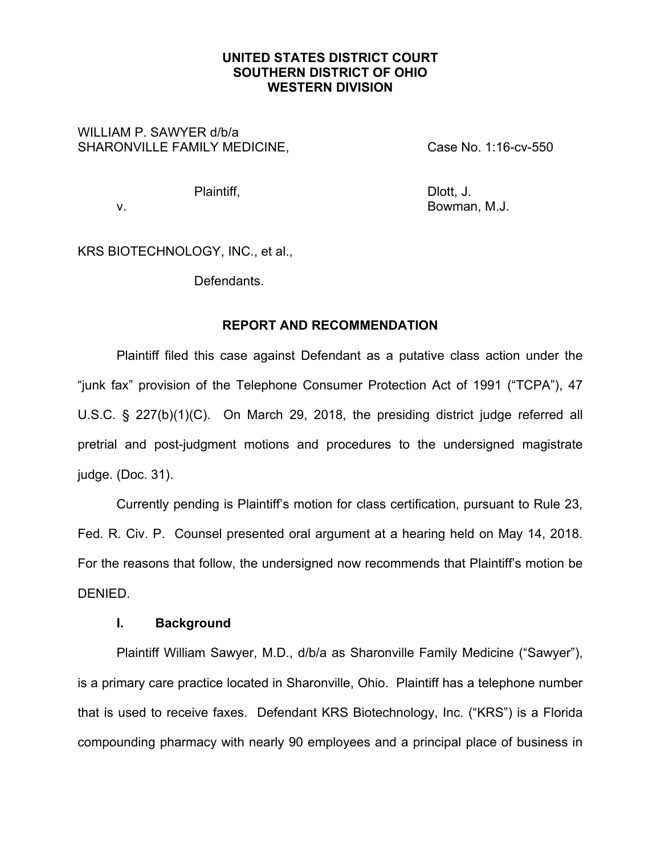# **UNITED STATES DISTRICT COURT SOUTHERN DISTRICT OF OHIO WESTERN DIVISION**

# WILLIAM P. SAWYER d/b/a SHARONVILLE FAMILY MEDICINE, Case No. 1:16-cv-550

Plaintiff, Dlott, J.

v. Bowman, M.J.

KRS BIOTECHNOLOGY, INC., et al.,

Defendants.

# **REPORT AND RECOMMENDATION**

 Plaintiff filed this case against Defendant as a putative class action under the "junk fax" provision of the Telephone Consumer Protection Act of 1991 ("TCPA"), 47 U.S.C. § 227(b)(1)(C). On March 29, 2018, the presiding district judge referred all pretrial and post-judgment motions and procedures to the undersigned magistrate judge. (Doc. 31).

 Currently pending is Plaintiff's motion for class certification, pursuant to Rule 23, Fed. R. Civ. P. Counsel presented oral argument at a hearing held on May 14, 2018. For the reasons that follow, the undersigned now recommends that Plaintiff's motion be DENIED.

# **I. Background**

Plaintiff William Sawyer, M.D., d/b/a as Sharonville Family Medicine ("Sawyer"), is a primary care practice located in Sharonville, Ohio. Plaintiff has a telephone number that is used to receive faxes. Defendant KRS Biotechnology, Inc. ("KRS") is a Florida compounding pharmacy with nearly 90 employees and a principal place of business in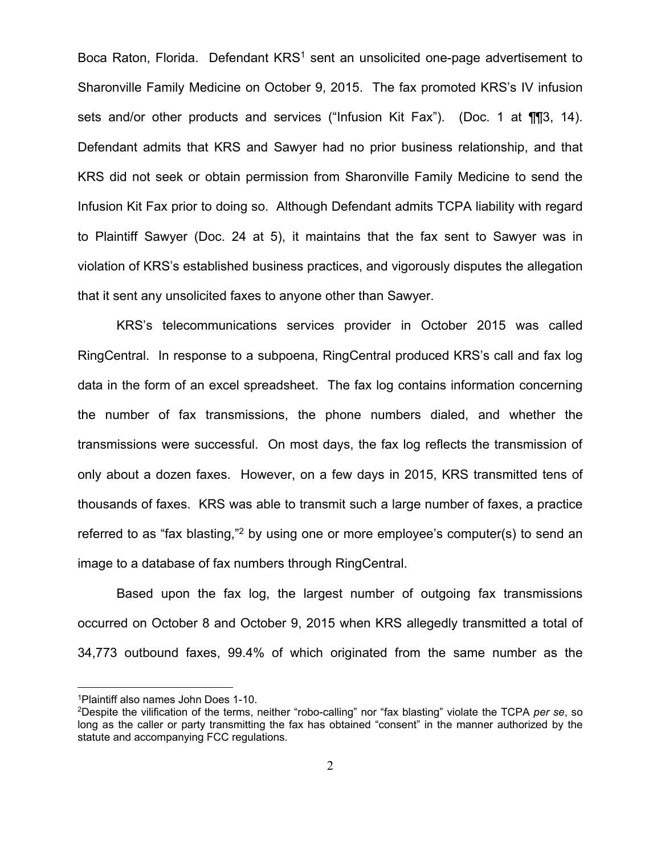Boca Raton, Florida. Defendant KRS<sup>1</sup> sent an unsolicited one-page advertisement to Sharonville Family Medicine on October 9, 2015. The fax promoted KRS's IV infusion sets and/or other products and services ("Infusion Kit Fax"). (Doc. 1 at ¶¶3, 14). Defendant admits that KRS and Sawyer had no prior business relationship, and that KRS did not seek or obtain permission from Sharonville Family Medicine to send the Infusion Kit Fax prior to doing so. Although Defendant admits TCPA liability with regard to Plaintiff Sawyer (Doc. 24 at 5), it maintains that the fax sent to Sawyer was in violation of KRS's established business practices, and vigorously disputes the allegation that it sent any unsolicited faxes to anyone other than Sawyer.

KRS's telecommunications services provider in October 2015 was called RingCentral. In response to a subpoena, RingCentral produced KRS's call and fax log data in the form of an excel spreadsheet. The fax log contains information concerning the number of fax transmissions, the phone numbers dialed, and whether the transmissions were successful. On most days, the fax log reflects the transmission of only about a dozen faxes. However, on a few days in 2015, KRS transmitted tens of thousands of faxes. KRS was able to transmit such a large number of faxes, a practice referred to as "fax blasting,"<sup>2</sup> by using one or more employee's computer(s) to send an image to a database of fax numbers through RingCentral.

Based upon the fax log, the largest number of outgoing fax transmissions occurred on October 8 and October 9, 2015 when KRS allegedly transmitted a total of 34,773 outbound faxes, 99.4% of which originated from the same number as the

<sup>1</sup>Plaintiff also names John Does 1-10.

<sup>2</sup>Despite the vilification of the terms, neither "robo-calling" nor "fax blasting" violate the TCPA *per se*, so long as the caller or party transmitting the fax has obtained "consent" in the manner authorized by the statute and accompanying FCC regulations.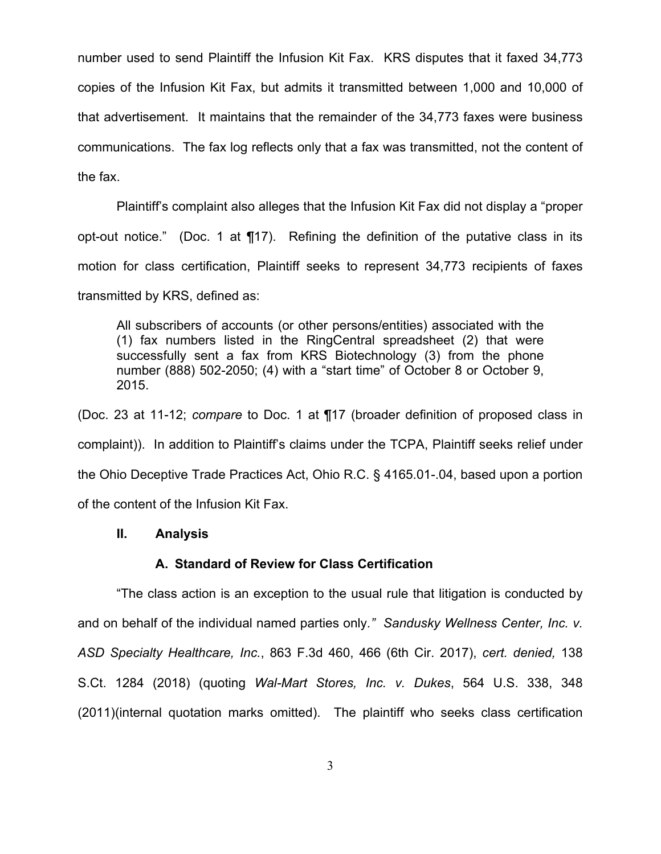number used to send Plaintiff the Infusion Kit Fax. KRS disputes that it faxed 34,773 copies of the Infusion Kit Fax, but admits it transmitted between 1,000 and 10,000 of that advertisement. It maintains that the remainder of the 34,773 faxes were business communications. The fax log reflects only that a fax was transmitted, not the content of the fax.

Plaintiff's complaint also alleges that the Infusion Kit Fax did not display a "proper opt-out notice." (Doc. 1 at ¶17). Refining the definition of the putative class in its motion for class certification, Plaintiff seeks to represent 34,773 recipients of faxes transmitted by KRS, defined as:

All subscribers of accounts (or other persons/entities) associated with the (1) fax numbers listed in the RingCentral spreadsheet (2) that were successfully sent a fax from KRS Biotechnology (3) from the phone number (888) 502-2050; (4) with a "start time" of October 8 or October 9, 2015.

(Doc. 23 at 11-12; *compare* to Doc. 1 at ¶17 (broader definition of proposed class in complaint)). In addition to Plaintiff's claims under the TCPA, Plaintiff seeks relief under the Ohio Deceptive Trade Practices Act, Ohio R.C. § 4165.01-.04, based upon a portion of the content of the Infusion Kit Fax.

## **II. Analysis**

### **A. Standard of Review for Class Certification**

 "The class action is an exception to the usual rule that litigation is conducted by and on behalf of the individual named parties only*." Sandusky Wellness Center, Inc. v. ASD Specialty Healthcare, Inc.*, 863 F.3d 460, 466 (6th Cir. 2017), *cert. denied,* 138 S.Ct. 1284 (2018) (quoting *Wal-Mart Stores, Inc. v. Dukes*, 564 U.S. 338, 348 (2011)(internal quotation marks omitted). The plaintiff who seeks class certification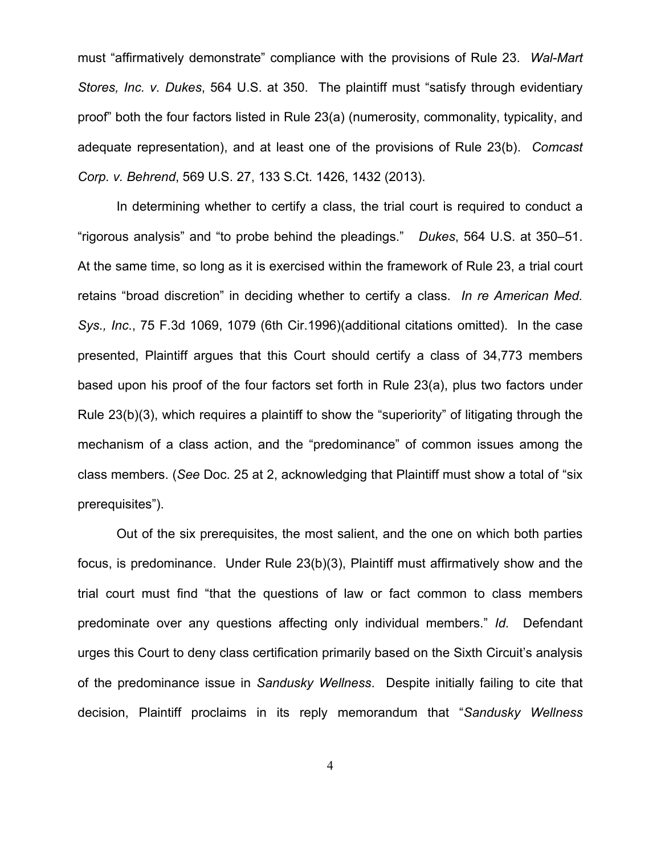must "affirmatively demonstrate" compliance with the provisions of Rule 23. *Wal-Mart Stores, Inc. v. Dukes*, 564 U.S. at 350. The plaintiff must "satisfy through evidentiary proof" both the four factors listed in Rule 23(a) (numerosity, commonality, typicality, and adequate representation), and at least one of the provisions of Rule 23(b). *Comcast Corp. v. Behrend*, 569 U.S. 27, 133 S.Ct. 1426, 1432 (2013).

 In determining whether to certify a class, the trial court is required to conduct a "rigorous analysis" and "to probe behind the pleadings." *Dukes*, 564 U.S. at 350–51. At the same time, so long as it is exercised within the framework of Rule 23, a trial court retains "broad discretion" in deciding whether to certify a class. *In re American Med. Sys., Inc*., 75 F.3d 1069, 1079 (6th Cir.1996)(additional citations omitted). In the case presented, Plaintiff argues that this Court should certify a class of 34,773 members based upon his proof of the four factors set forth in Rule 23(a), plus two factors under Rule 23(b)(3), which requires a plaintiff to show the "superiority" of litigating through the mechanism of a class action, and the "predominance" of common issues among the class members. (*See* Doc. 25 at 2, acknowledging that Plaintiff must show a total of "six prerequisites").

 Out of the six prerequisites, the most salient, and the one on which both parties focus, is predominance. Under Rule 23(b)(3), Plaintiff must affirmatively show and the trial court must find "that the questions of law or fact common to class members predominate over any questions affecting only individual members." *Id.* Defendant urges this Court to deny class certification primarily based on the Sixth Circuit's analysis of the predominance issue in *Sandusky Wellness*. Despite initially failing to cite that decision, Plaintiff proclaims in its reply memorandum that "*Sandusky Wellness*

4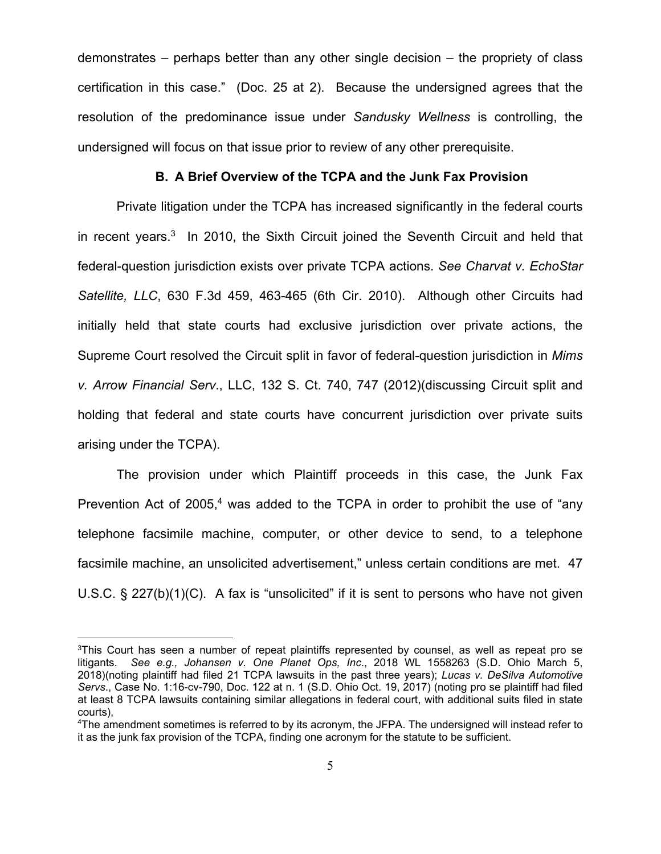demonstrates – perhaps better than any other single decision – the propriety of class certification in this case." (Doc. 25 at 2). Because the undersigned agrees that the resolution of the predominance issue under *Sandusky Wellness* is controlling, the undersigned will focus on that issue prior to review of any other prerequisite.

#### **B. A Brief Overview of the TCPA and the Junk Fax Provision**

 Private litigation under the TCPA has increased significantly in the federal courts in recent years.3 In 2010, the Sixth Circuit joined the Seventh Circuit and held that federal-question jurisdiction exists over private TCPA actions. *See Charvat v. EchoStar Satellite, LLC*, 630 F.3d 459, 463-465 (6th Cir. 2010). Although other Circuits had initially held that state courts had exclusive jurisdiction over private actions, the Supreme Court resolved the Circuit split in favor of federal-question jurisdiction in *Mims v. Arrow Financial Serv*., LLC, 132 S. Ct. 740, 747 (2012)(discussing Circuit split and holding that federal and state courts have concurrent jurisdiction over private suits arising under the TCPA).

 The provision under which Plaintiff proceeds in this case, the Junk Fax Prevention Act of 2005, $4$  was added to the TCPA in order to prohibit the use of "any telephone facsimile machine, computer, or other device to send, to a telephone facsimile machine, an unsolicited advertisement," unless certain conditions are met. 47 U.S.C. § 227(b)(1)(C). A fax is "unsolicited" if it is sent to persons who have not given

<sup>&</sup>lt;sup>3</sup>This Court has seen a number of repeat plaintiffs represented by counsel, as well as repeat pro se litigants. *See e.g., Johansen v. One Planet Ops, Inc*., 2018 WL 1558263 (S.D. Ohio March 5, 2018)(noting plaintiff had filed 21 TCPA lawsuits in the past three years); *Lucas v. DeSilva Automotive Servs*., Case No. 1:16-cv-790, Doc. 122 at n. 1 (S.D. Ohio Oct. 19, 2017) (noting pro se plaintiff had filed at least 8 TCPA lawsuits containing similar allegations in federal court, with additional suits filed in state courts),

<sup>4</sup>The amendment sometimes is referred to by its acronym, the JFPA. The undersigned will instead refer to it as the junk fax provision of the TCPA, finding one acronym for the statute to be sufficient.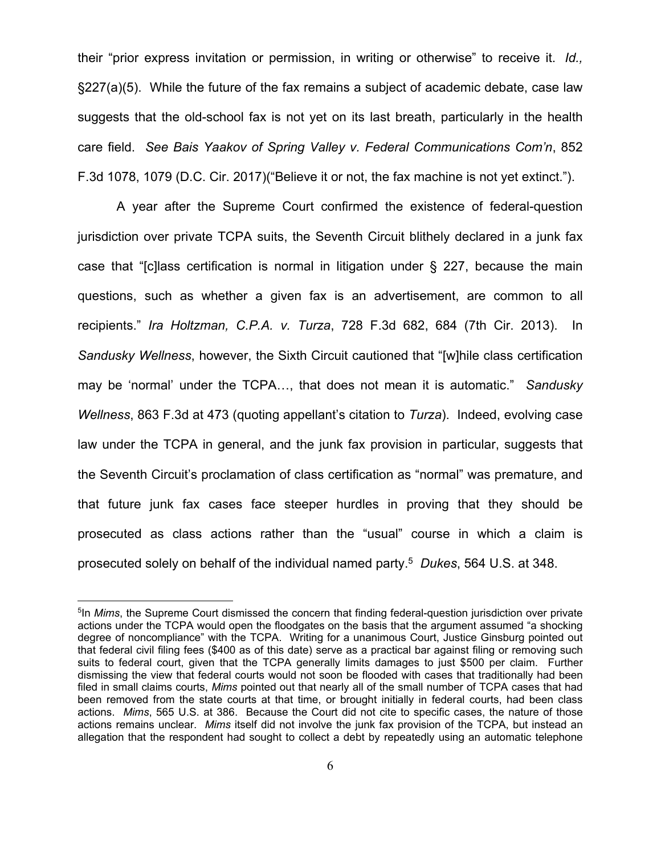their "prior express invitation or permission, in writing or otherwise" to receive it. *Id.,*  §227(a)(5). While the future of the fax remains a subject of academic debate, case law suggests that the old-school fax is not yet on its last breath, particularly in the health care field. *See Bais Yaakov of Spring Valley v. Federal Communications Com'n*, 852 F.3d 1078, 1079 (D.C. Cir. 2017)("Believe it or not, the fax machine is not yet extinct.").

 A year after the Supreme Court confirmed the existence of federal-question jurisdiction over private TCPA suits, the Seventh Circuit blithely declared in a junk fax case that "[c]lass certification is normal in litigation under § 227, because the main questions, such as whether a given fax is an advertisement, are common to all recipients." *Ira Holtzman, C.P.A. v. Turza*, 728 F.3d 682, 684 (7th Cir. 2013). In *Sandusky Wellness*, however, the Sixth Circuit cautioned that "[w]hile class certification may be 'normal' under the TCPA…, that does not mean it is automatic." *Sandusky Wellness*, 863 F.3d at 473 (quoting appellant's citation to *Turza*). Indeed, evolving case law under the TCPA in general, and the junk fax provision in particular, suggests that the Seventh Circuit's proclamation of class certification as "normal" was premature, and that future junk fax cases face steeper hurdles in proving that they should be prosecuted as class actions rather than the "usual" course in which a claim is prosecuted solely on behalf of the individual named party.5 *Dukes*, 564 U.S. at 348.

<sup>&</sup>lt;sup>5</sup>In *Mims*, the Supreme Court dismissed the concern that finding federal-question jurisdiction over private actions under the TCPA would open the floodgates on the basis that the argument assumed "a shocking degree of noncompliance" with the TCPA. Writing for a unanimous Court, Justice Ginsburg pointed out that federal civil filing fees (\$400 as of this date) serve as a practical bar against filing or removing such suits to federal court, given that the TCPA generally limits damages to just \$500 per claim. Further dismissing the view that federal courts would not soon be flooded with cases that traditionally had been filed in small claims courts, *Mims* pointed out that nearly all of the small number of TCPA cases that had been removed from the state courts at that time, or brought initially in federal courts, had been class actions. *Mims*, 565 U.S. at 386. Because the Court did not cite to specific cases, the nature of those actions remains unclear. *Mims* itself did not involve the junk fax provision of the TCPA, but instead an allegation that the respondent had sought to collect a debt by repeatedly using an automatic telephone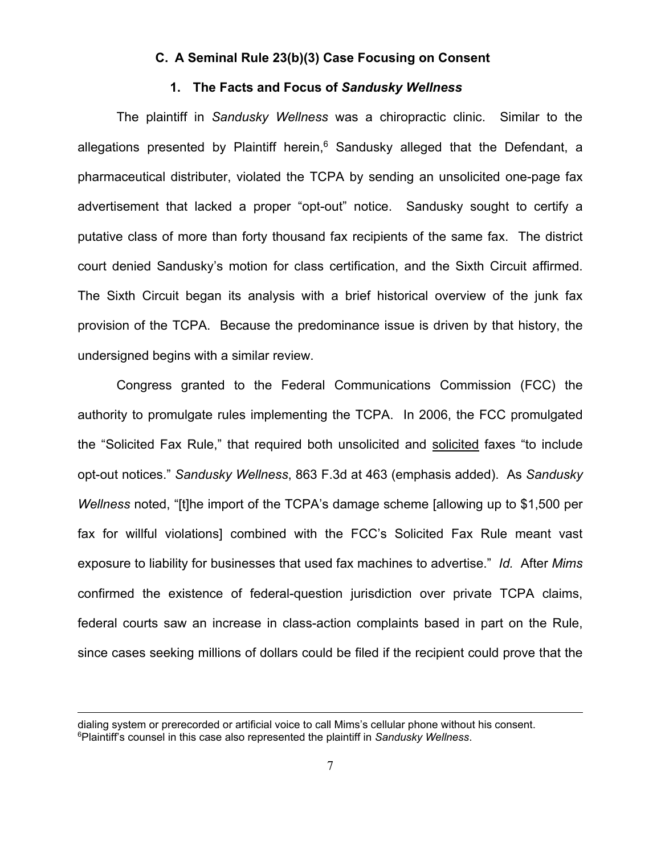#### **C. A Seminal Rule 23(b)(3) Case Focusing on Consent**

#### **1. The Facts and Focus of** *Sandusky Wellness*

 The plaintiff in *Sandusky Wellness* was a chiropractic clinic. Similar to the allegations presented by Plaintiff herein, $6$  Sandusky alleged that the Defendant, a pharmaceutical distributer, violated the TCPA by sending an unsolicited one-page fax advertisement that lacked a proper "opt-out" notice. Sandusky sought to certify a putative class of more than forty thousand fax recipients of the same fax. The district court denied Sandusky's motion for class certification, and the Sixth Circuit affirmed. The Sixth Circuit began its analysis with a brief historical overview of the junk fax provision of the TCPA. Because the predominance issue is driven by that history, the undersigned begins with a similar review.

 Congress granted to the Federal Communications Commission (FCC) the authority to promulgate rules implementing the TCPA. In 2006, the FCC promulgated the "Solicited Fax Rule," that required both unsolicited and solicited faxes "to include opt-out notices." *Sandusky Wellness*, 863 F.3d at 463 (emphasis added). As *Sandusky Wellness* noted, "[t]he import of the TCPA's damage scheme [allowing up to \$1,500 per fax for willful violations] combined with the FCC's Solicited Fax Rule meant vast exposure to liability for businesses that used fax machines to advertise." *Id.* After *Mims* confirmed the existence of federal-question jurisdiction over private TCPA claims, federal courts saw an increase in class-action complaints based in part on the Rule, since cases seeking millions of dollars could be filed if the recipient could prove that the

dialing system or prerecorded or artificial voice to call Mims's cellular phone without his consent. 6Plaintiff's counsel in this case also represented the plaintiff in *Sandusky Wellness*.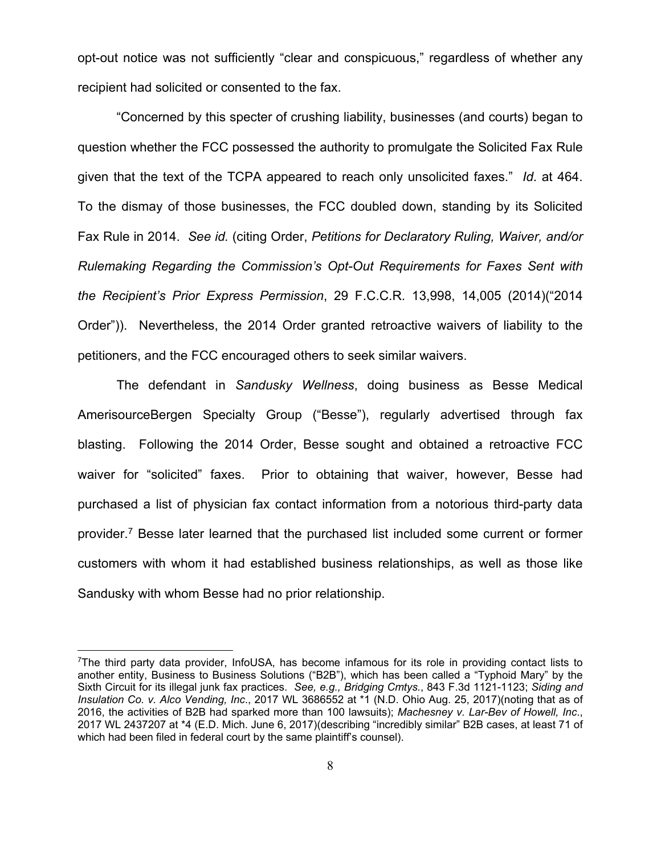opt-out notice was not sufficiently "clear and conspicuous," regardless of whether any recipient had solicited or consented to the fax.

 "Concerned by this specter of crushing liability, businesses (and courts) began to question whether the FCC possessed the authority to promulgate the Solicited Fax Rule given that the text of the TCPA appeared to reach only unsolicited faxes." *Id*. at 464. To the dismay of those businesses, the FCC doubled down, standing by its Solicited Fax Rule in 2014. *See id.* (citing Order, *Petitions for Declaratory Ruling, Waiver, and/or Rulemaking Regarding the Commission's Opt-Out Requirements for Faxes Sent with the Recipient's Prior Express Permission*, 29 F.C.C.R. 13,998, 14,005 (2014)("2014 Order")). Nevertheless, the 2014 Order granted retroactive waivers of liability to the petitioners, and the FCC encouraged others to seek similar waivers.

 The defendant in *Sandusky Wellness*, doing business as Besse Medical AmerisourceBergen Specialty Group ("Besse"), regularly advertised through fax blasting. Following the 2014 Order, Besse sought and obtained a retroactive FCC waiver for "solicited" faxes. Prior to obtaining that waiver, however, Besse had purchased a list of physician fax contact information from a notorious third-party data provider.7 Besse later learned that the purchased list included some current or former customers with whom it had established business relationships, as well as those like Sandusky with whom Besse had no prior relationship.

<sup>7</sup>The third party data provider, InfoUSA, has become infamous for its role in providing contact lists to another entity, Business to Business Solutions ("B2B"), which has been called a "Typhoid Mary" by the Sixth Circuit for its illegal junk fax practices. *See, e.g., Bridging Cmtys.*, 843 F.3d 1121-1123; *Siding and Insulation Co. v. Alco Vending, Inc*., 2017 WL 3686552 at \*1 (N.D. Ohio Aug. 25, 2017)(noting that as of 2016, the activities of B2B had sparked more than 100 lawsuits); *Machesney v. Lar-Bev of Howell, Inc*., 2017 WL 2437207 at \*4 (E.D. Mich. June 6, 2017)(describing "incredibly similar" B2B cases, at least 71 of which had been filed in federal court by the same plaintiff's counsel).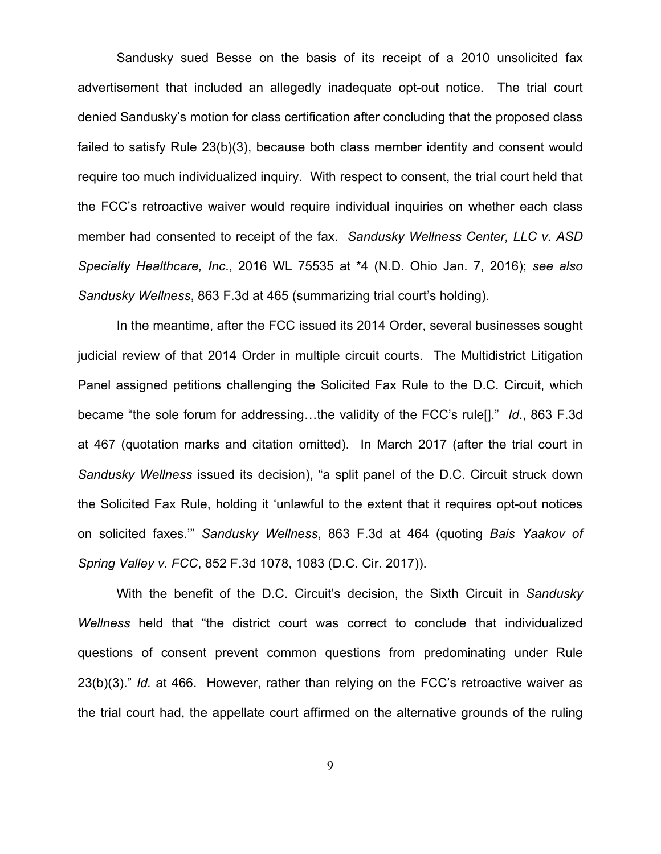Sandusky sued Besse on the basis of its receipt of a 2010 unsolicited fax advertisement that included an allegedly inadequate opt-out notice. The trial court denied Sandusky's motion for class certification after concluding that the proposed class failed to satisfy Rule 23(b)(3), because both class member identity and consent would require too much individualized inquiry. With respect to consent, the trial court held that the FCC's retroactive waiver would require individual inquiries on whether each class member had consented to receipt of the fax. *Sandusky Wellness Center, LLC v. ASD Specialty Healthcare, Inc*., 2016 WL 75535 at \*4 (N.D. Ohio Jan. 7, 2016); *see also Sandusky Wellness*, 863 F.3d at 465 (summarizing trial court's holding).

 In the meantime, after the FCC issued its 2014 Order, several businesses sought judicial review of that 2014 Order in multiple circuit courts. The Multidistrict Litigation Panel assigned petitions challenging the Solicited Fax Rule to the D.C. Circuit, which became "the sole forum for addressing…the validity of the FCC's rule[]." *Id*., 863 F.3d at 467 (quotation marks and citation omitted). In March 2017 (after the trial court in *Sandusky Wellness* issued its decision), "a split panel of the D.C. Circuit struck down the Solicited Fax Rule, holding it 'unlawful to the extent that it requires opt-out notices on solicited faxes.'" *Sandusky Wellness*, 863 F.3d at 464 (quoting *Bais Yaakov of Spring Valley v. FCC*, 852 F.3d 1078, 1083 (D.C. Cir. 2017)).

 With the benefit of the D.C. Circuit's decision, the Sixth Circuit in *Sandusky Wellness* held that "the district court was correct to conclude that individualized questions of consent prevent common questions from predominating under Rule 23(b)(3)." *Id.* at 466. However, rather than relying on the FCC's retroactive waiver as the trial court had, the appellate court affirmed on the alternative grounds of the ruling

9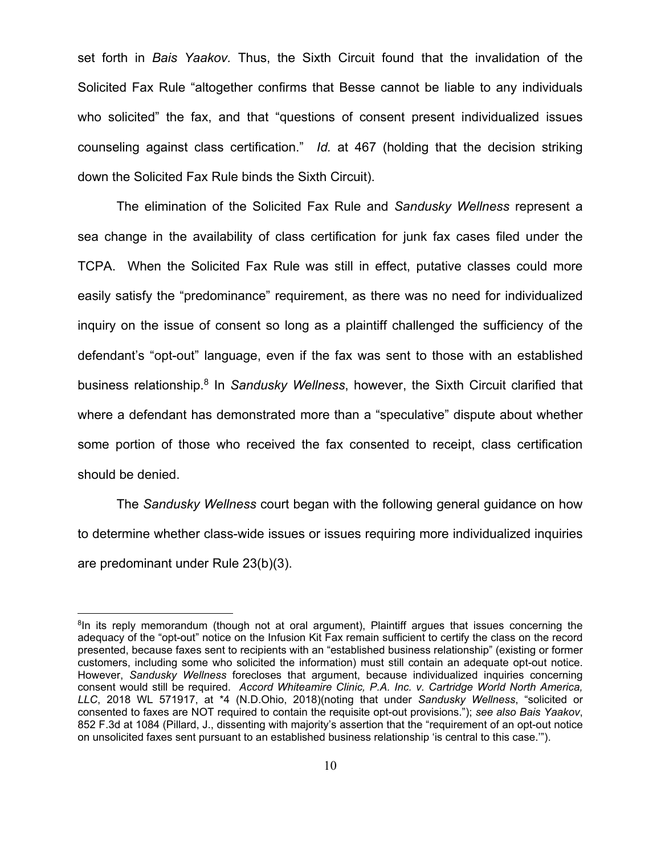set forth in *Bais Yaakov.* Thus, the Sixth Circuit found that the invalidation of the Solicited Fax Rule "altogether confirms that Besse cannot be liable to any individuals who solicited" the fax, and that "questions of consent present individualized issues counseling against class certification." *Id.* at 467 (holding that the decision striking down the Solicited Fax Rule binds the Sixth Circuit).

 The elimination of the Solicited Fax Rule and *Sandusky Wellness* represent a sea change in the availability of class certification for junk fax cases filed under the TCPA. When the Solicited Fax Rule was still in effect, putative classes could more easily satisfy the "predominance" requirement, as there was no need for individualized inquiry on the issue of consent so long as a plaintiff challenged the sufficiency of the defendant's "opt-out" language, even if the fax was sent to those with an established business relationship.8 In *Sandusky Wellness*, however, the Sixth Circuit clarified that where a defendant has demonstrated more than a "speculative" dispute about whether some portion of those who received the fax consented to receipt, class certification should be denied.

 The *Sandusky Wellness* court began with the following general guidance on how to determine whether class-wide issues or issues requiring more individualized inquiries are predominant under Rule 23(b)(3).

<sup>&</sup>lt;sup>8</sup>In its reply memorandum (though not at oral argument), Plaintiff argues that issues concerning the adequacy of the "opt-out" notice on the Infusion Kit Fax remain sufficient to certify the class on the record presented, because faxes sent to recipients with an "established business relationship" (existing or former customers, including some who solicited the information) must still contain an adequate opt-out notice. However, *Sandusky Wellness* forecloses that argument, because individualized inquiries concerning consent would still be required. *Accord Whiteamire Clinic, P.A. Inc. v. Cartridge World North America, LLC*, 2018 WL 571917, at \*4 (N.D.Ohio, 2018)(noting that under *Sandusky Wellness*, "solicited or consented to faxes are NOT required to contain the requisite opt-out provisions."); *see also Bais Yaakov*, 852 F.3d at 1084 (Pillard, J., dissenting with majority's assertion that the "requirement of an opt-out notice on unsolicited faxes sent pursuant to an established business relationship 'is central to this case.'").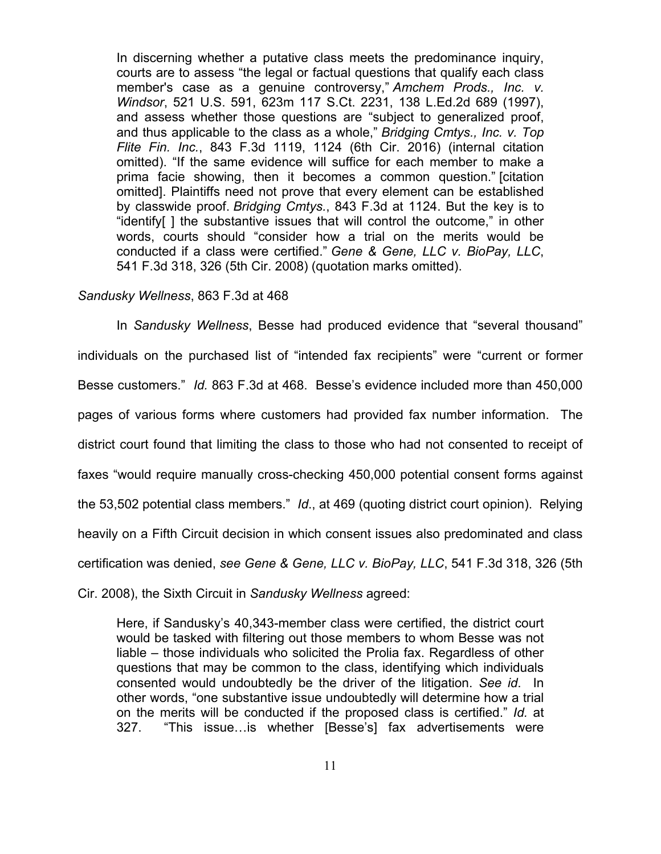In discerning whether a putative class meets the predominance inquiry, courts are to assess "the legal or factual questions that qualify each class member's case as a genuine controversy," *Amchem Prods., Inc. v. Windsor*, 521 U.S. 591, 623m 117 S.Ct. 2231, 138 L.Ed.2d 689 (1997), and assess whether those questions are "subject to generalized proof, and thus applicable to the class as a whole," *Bridging Cmtys., Inc. v. Top Flite Fin. Inc.*, 843 F.3d 1119, 1124 (6th Cir. 2016) (internal citation omitted). "If the same evidence will suffice for each member to make a prima facie showing, then it becomes a common question." [citation omitted]. Plaintiffs need not prove that every element can be established by classwide proof. *Bridging Cmtys.*, 843 F.3d at 1124. But the key is to "identify[ ] the substantive issues that will control the outcome," in other words, courts should "consider how a trial on the merits would be conducted if a class were certified." *Gene & Gene, LLC v. BioPay, LLC*, 541 F.3d 318, 326 (5th Cir. 2008) (quotation marks omitted).

### *Sandusky Wellness*, 863 F.3d at 468

 In *Sandusky Wellness*, Besse had produced evidence that "several thousand" individuals on the purchased list of "intended fax recipients" were "current or former Besse customers." *Id.* 863 F.3d at 468. Besse's evidence included more than 450,000 pages of various forms where customers had provided fax number information. The district court found that limiting the class to those who had not consented to receipt of faxes "would require manually cross-checking 450,000 potential consent forms against the 53,502 potential class members." *Id*., at 469 (quoting district court opinion). Relying heavily on a Fifth Circuit decision in which consent issues also predominated and class certification was denied, *see Gene & Gene, LLC v. BioPay, LLC*, 541 F.3d 318, 326 (5th Cir. 2008), the Sixth Circuit in *Sandusky Wellness* agreed:

Here, if Sandusky's 40,343-member class were certified, the district court would be tasked with filtering out those members to whom Besse was not liable – those individuals who solicited the Prolia fax. Regardless of other questions that may be common to the class, identifying which individuals consented would undoubtedly be the driver of the litigation. *See id*. In other words, "one substantive issue undoubtedly will determine how a trial on the merits will be conducted if the proposed class is certified." *Id.* at 327. "This issue…is whether [Besse's] fax advertisements were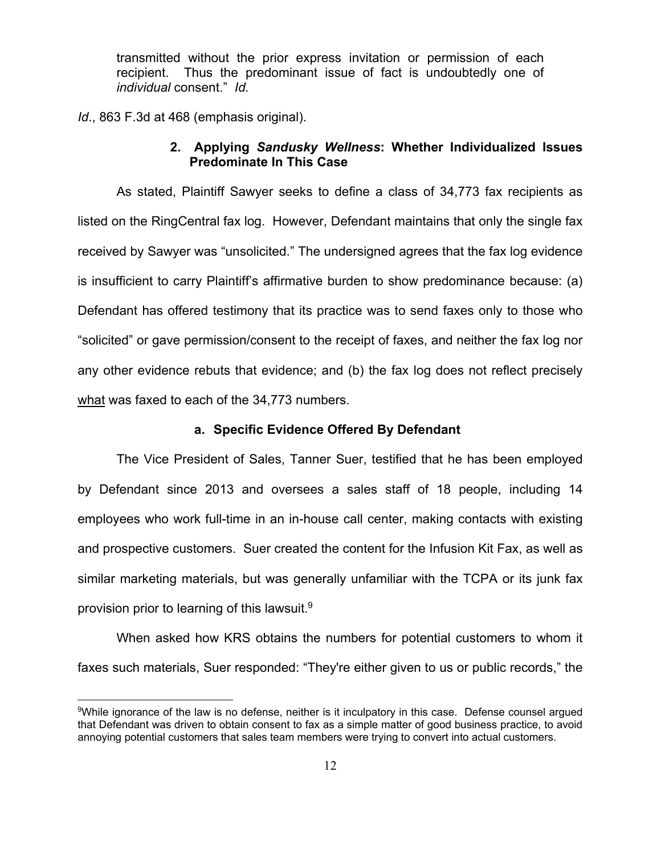transmitted without the prior express invitation or permission of each recipient. Thus the predominant issue of fact is undoubtedly one of *individual* consent." *Id.* 

*Id*., 863 F.3d at 468 (emphasis original).

 $\overline{a}$ 

# **2. Applying** *Sandusky Wellness***: Whether Individualized Issues Predominate In This Case**

 As stated, Plaintiff Sawyer seeks to define a class of 34,773 fax recipients as listed on the RingCentral fax log. However, Defendant maintains that only the single fax received by Sawyer was "unsolicited." The undersigned agrees that the fax log evidence is insufficient to carry Plaintiff's affirmative burden to show predominance because: (a) Defendant has offered testimony that its practice was to send faxes only to those who "solicited" or gave permission/consent to the receipt of faxes, and neither the fax log nor any other evidence rebuts that evidence; and (b) the fax log does not reflect precisely what was faxed to each of the 34,773 numbers.

#### **a. Specific Evidence Offered By Defendant**

 The Vice President of Sales, Tanner Suer, testified that he has been employed by Defendant since 2013 and oversees a sales staff of 18 people, including 14 employees who work full-time in an in-house call center, making contacts with existing and prospective customers. Suer created the content for the Infusion Kit Fax, as well as similar marketing materials, but was generally unfamiliar with the TCPA or its junk fax provision prior to learning of this lawsuit.9

When asked how KRS obtains the numbers for potential customers to whom it faxes such materials, Suer responded: "They're either given to us or public records," the

<sup>9</sup>While ignorance of the law is no defense, neither is it inculpatory in this case. Defense counsel argued that Defendant was driven to obtain consent to fax as a simple matter of good business practice, to avoid annoying potential customers that sales team members were trying to convert into actual customers.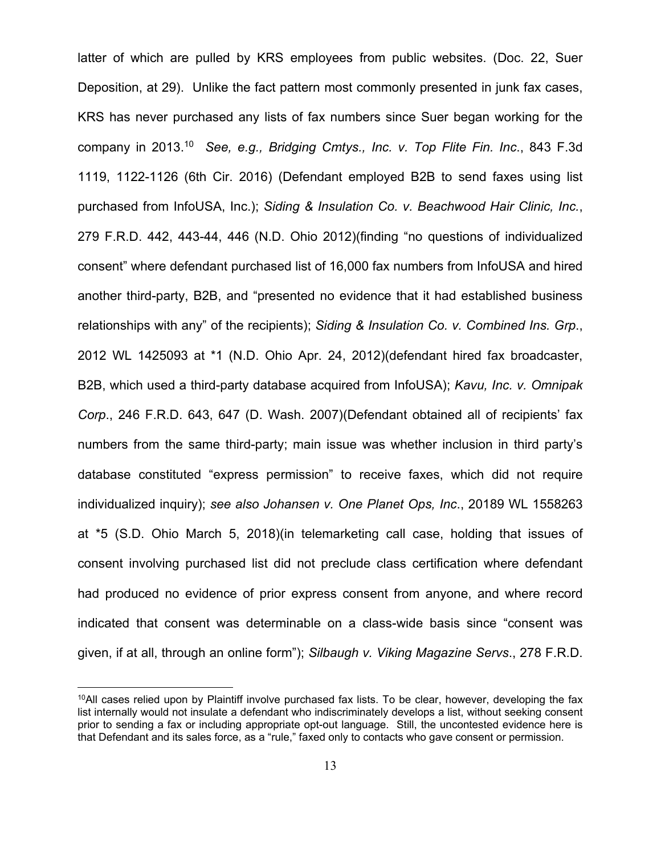latter of which are pulled by KRS employees from public websites. (Doc. 22, Suer Deposition, at 29). Unlike the fact pattern most commonly presented in junk fax cases, KRS has never purchased any lists of fax numbers since Suer began working for the company in 2013.10 *See, e.g., Bridging Cmtys., Inc. v. Top Flite Fin. Inc*., 843 F.3d 1119, 1122-1126 (6th Cir. 2016) (Defendant employed B2B to send faxes using list purchased from InfoUSA, Inc.); *Siding & Insulation Co. v. Beachwood Hair Clinic, Inc.*, 279 F.R.D. 442, 443-44, 446 (N.D. Ohio 2012)(finding "no questions of individualized consent" where defendant purchased list of 16,000 fax numbers from InfoUSA and hired another third-party, B2B, and "presented no evidence that it had established business relationships with any" of the recipients); *Siding & Insulation Co. v. Combined Ins. Grp*., 2012 WL 1425093 at \*1 (N.D. Ohio Apr. 24, 2012)(defendant hired fax broadcaster, B2B, which used a third-party database acquired from InfoUSA); *Kavu, Inc. v. Omnipak Corp*., 246 F.R.D. 643, 647 (D. Wash. 2007)(Defendant obtained all of recipients' fax numbers from the same third-party; main issue was whether inclusion in third party's database constituted "express permission" to receive faxes, which did not require individualized inquiry); *see also Johansen v. One Planet Ops, Inc*., 20189 WL 1558263 at \*5 (S.D. Ohio March 5, 2018)(in telemarketing call case, holding that issues of consent involving purchased list did not preclude class certification where defendant had produced no evidence of prior express consent from anyone, and where record indicated that consent was determinable on a class-wide basis since "consent was given, if at all, through an online form"); *Silbaugh v. Viking Magazine Servs*., 278 F.R.D.

 $10$ All cases relied upon by Plaintiff involve purchased fax lists. To be clear, however, developing the fax list internally would not insulate a defendant who indiscriminately develops a list, without seeking consent prior to sending a fax or including appropriate opt-out language. Still, the uncontested evidence here is that Defendant and its sales force, as a "rule," faxed only to contacts who gave consent or permission.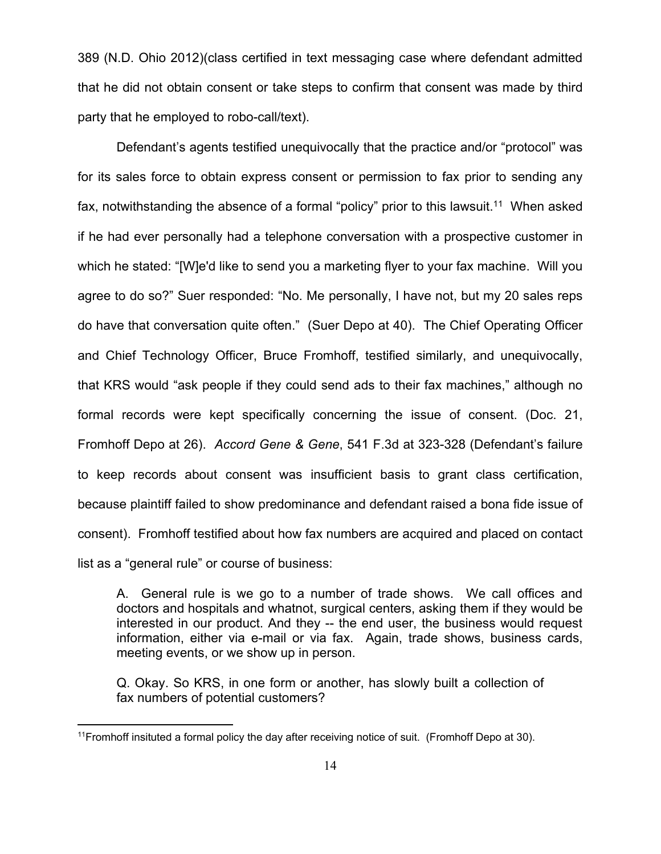389 (N.D. Ohio 2012)(class certified in text messaging case where defendant admitted that he did not obtain consent or take steps to confirm that consent was made by third party that he employed to robo-call/text).

Defendant's agents testified unequivocally that the practice and/or "protocol" was for its sales force to obtain express consent or permission to fax prior to sending any fax, notwithstanding the absence of a formal "policy" prior to this lawsuit.<sup>11</sup> When asked if he had ever personally had a telephone conversation with a prospective customer in which he stated: "[W]e'd like to send you a marketing flyer to your fax machine. Will you agree to do so?" Suer responded: "No. Me personally, I have not, but my 20 sales reps do have that conversation quite often." (Suer Depo at 40). The Chief Operating Officer and Chief Technology Officer, Bruce Fromhoff, testified similarly, and unequivocally, that KRS would "ask people if they could send ads to their fax machines," although no formal records were kept specifically concerning the issue of consent. (Doc. 21, Fromhoff Depo at 26). *Accord Gene & Gene*, 541 F.3d at 323-328 (Defendant's failure to keep records about consent was insufficient basis to grant class certification, because plaintiff failed to show predominance and defendant raised a bona fide issue of consent). Fromhoff testified about how fax numbers are acquired and placed on contact list as a "general rule" or course of business:

A. General rule is we go to a number of trade shows. We call offices and doctors and hospitals and whatnot, surgical centers, asking them if they would be interested in our product. And they -- the end user, the business would request information, either via e-mail or via fax. Again, trade shows, business cards, meeting events, or we show up in person.

Q. Okay. So KRS, in one form or another, has slowly built a collection of fax numbers of potential customers?

 $11$ Fromhoff insituted a formal policy the day after receiving notice of suit. (Fromhoff Depo at 30).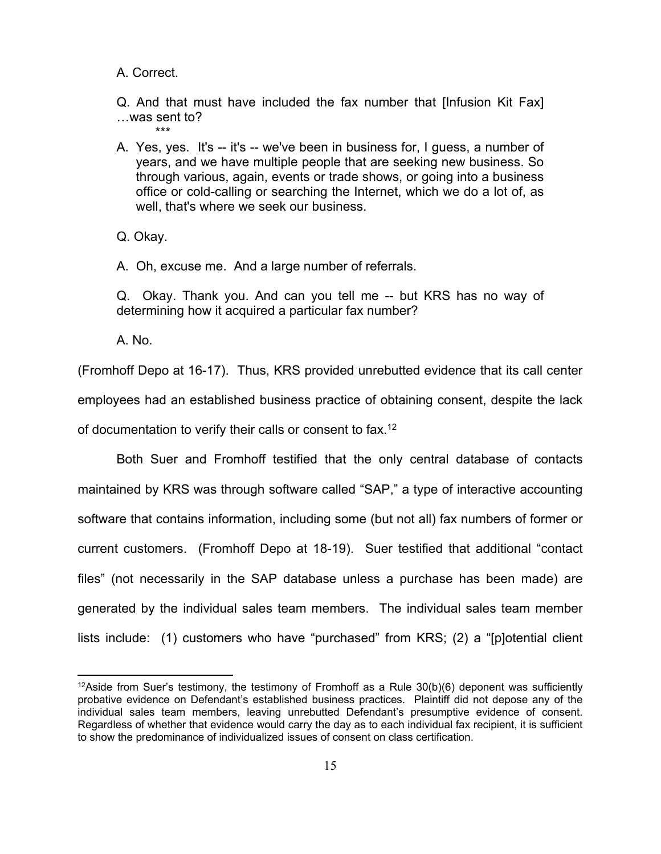A. Correct.

Q. And that must have included the fax number that [Infusion Kit Fax] …was sent to? \*\*\*

A. Yes, yes. It's -- it's -- we've been in business for, I guess, a number of years, and we have multiple people that are seeking new business. So through various, again, events or trade shows, or going into a business office or cold-calling or searching the Internet, which we do a lot of, as well, that's where we seek our business.

Q. Okay.

A. Oh, excuse me. And a large number of referrals.

Q. Okay. Thank you. And can you tell me -- but KRS has no way of determining how it acquired a particular fax number?

A. No.

 $\overline{a}$ 

(Fromhoff Depo at 16-17). Thus, KRS provided unrebutted evidence that its call center employees had an established business practice of obtaining consent, despite the lack of documentation to verify their calls or consent to fax.12

 Both Suer and Fromhoff testified that the only central database of contacts maintained by KRS was through software called "SAP," a type of interactive accounting software that contains information, including some (but not all) fax numbers of former or current customers. (Fromhoff Depo at 18-19). Suer testified that additional "contact files" (not necessarily in the SAP database unless a purchase has been made) are generated by the individual sales team members. The individual sales team member lists include: (1) customers who have "purchased" from KRS; (2) a "[p]otential client

<sup>&</sup>lt;sup>12</sup>Aside from Suer's testimony, the testimony of Fromhoff as a Rule  $30(b)(6)$  deponent was sufficiently probative evidence on Defendant's established business practices. Plaintiff did not depose any of the individual sales team members, leaving unrebutted Defendant's presumptive evidence of consent. Regardless of whether that evidence would carry the day as to each individual fax recipient, it is sufficient to show the predominance of individualized issues of consent on class certification.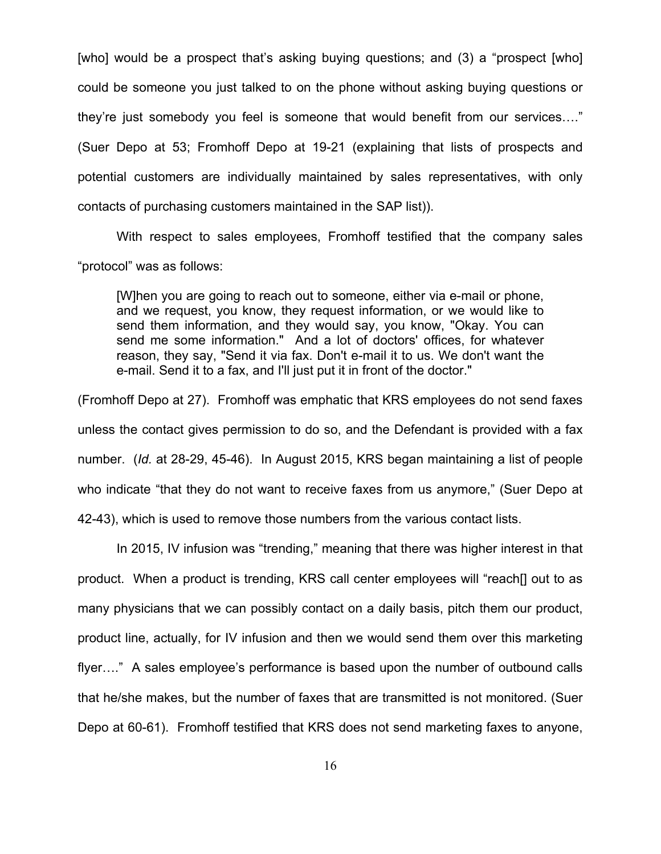[who] would be a prospect that's asking buying questions; and (3) a "prospect [who] could be someone you just talked to on the phone without asking buying questions or they're just somebody you feel is someone that would benefit from our services…." (Suer Depo at 53; Fromhoff Depo at 19-21 (explaining that lists of prospects and potential customers are individually maintained by sales representatives, with only contacts of purchasing customers maintained in the SAP list)).

With respect to sales employees, Fromhoff testified that the company sales "protocol" was as follows:

[W]hen you are going to reach out to someone, either via e-mail or phone, and we request, you know, they request information, or we would like to send them information, and they would say, you know, "Okay. You can send me some information." And a lot of doctors' offices, for whatever reason, they say, "Send it via fax. Don't e-mail it to us. We don't want the e-mail. Send it to a fax, and I'll just put it in front of the doctor."

(Fromhoff Depo at 27). Fromhoff was emphatic that KRS employees do not send faxes unless the contact gives permission to do so, and the Defendant is provided with a fax number. (*Id.* at 28-29, 45-46). In August 2015, KRS began maintaining a list of people who indicate "that they do not want to receive faxes from us anymore," (Suer Depo at 42-43), which is used to remove those numbers from the various contact lists.

In 2015, IV infusion was "trending," meaning that there was higher interest in that product. When a product is trending, KRS call center employees will "reach[] out to as many physicians that we can possibly contact on a daily basis, pitch them our product, product line, actually, for IV infusion and then we would send them over this marketing flyer…." A sales employee's performance is based upon the number of outbound calls that he/she makes, but the number of faxes that are transmitted is not monitored. (Suer Depo at 60-61). Fromhoff testified that KRS does not send marketing faxes to anyone,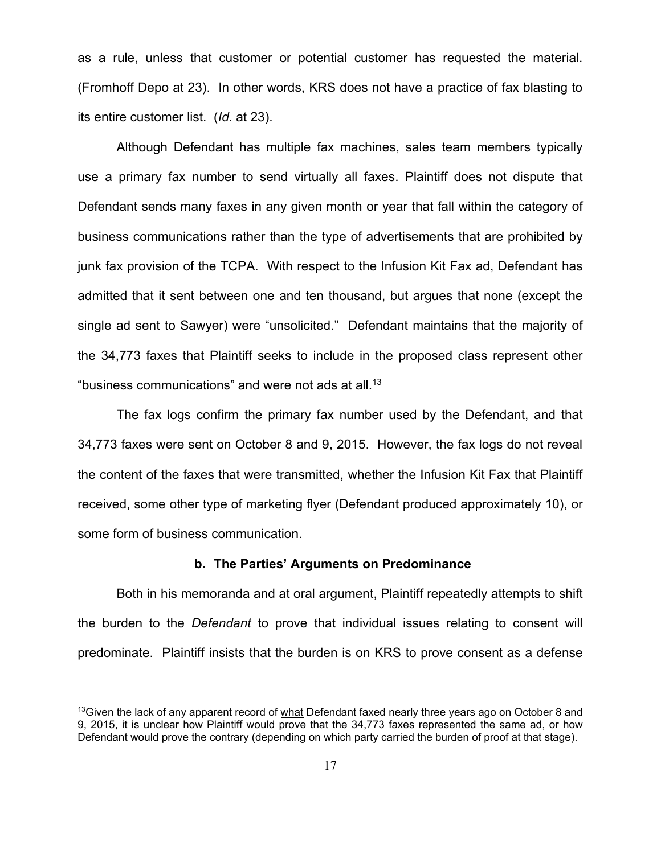as a rule, unless that customer or potential customer has requested the material. (Fromhoff Depo at 23). In other words, KRS does not have a practice of fax blasting to its entire customer list. (*Id.* at 23).

 Although Defendant has multiple fax machines, sales team members typically use a primary fax number to send virtually all faxes. Plaintiff does not dispute that Defendant sends many faxes in any given month or year that fall within the category of business communications rather than the type of advertisements that are prohibited by junk fax provision of the TCPA. With respect to the Infusion Kit Fax ad, Defendant has admitted that it sent between one and ten thousand, but argues that none (except the single ad sent to Sawyer) were "unsolicited." Defendant maintains that the majority of the 34,773 faxes that Plaintiff seeks to include in the proposed class represent other "business communications" and were not ads at all.<sup>13</sup>

 The fax logs confirm the primary fax number used by the Defendant, and that 34,773 faxes were sent on October 8 and 9, 2015. However, the fax logs do not reveal the content of the faxes that were transmitted, whether the Infusion Kit Fax that Plaintiff received, some other type of marketing flyer (Defendant produced approximately 10), or some form of business communication.

## **b. The Parties' Arguments on Predominance**

 Both in his memoranda and at oral argument, Plaintiff repeatedly attempts to shift the burden to the *Defendant* to prove that individual issues relating to consent will predominate. Plaintiff insists that the burden is on KRS to prove consent as a defense

<sup>&</sup>lt;sup>13</sup> Given the lack of any apparent record of what Defendant faxed nearly three years ago on October 8 and 9, 2015, it is unclear how Plaintiff would prove that the 34,773 faxes represented the same ad, or how Defendant would prove the contrary (depending on which party carried the burden of proof at that stage).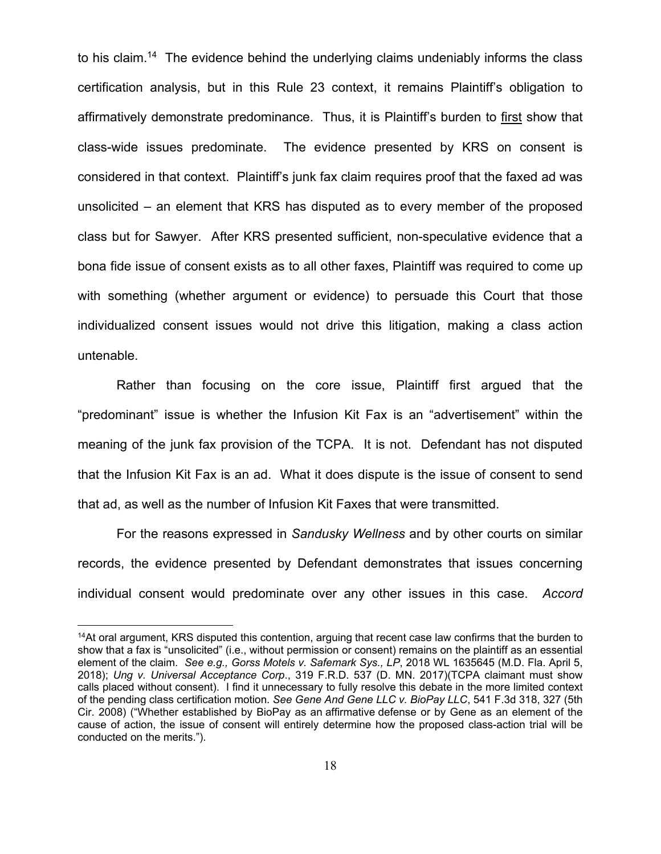to his claim.<sup>14</sup> The evidence behind the underlying claims undeniably informs the class certification analysis, but in this Rule 23 context, it remains Plaintiff's obligation to affirmatively demonstrate predominance. Thus, it is Plaintiff's burden to first show that class-wide issues predominate. The evidence presented by KRS on consent is considered in that context. Plaintiff's junk fax claim requires proof that the faxed ad was unsolicited – an element that KRS has disputed as to every member of the proposed class but for Sawyer. After KRS presented sufficient, non-speculative evidence that a bona fide issue of consent exists as to all other faxes, Plaintiff was required to come up with something (whether argument or evidence) to persuade this Court that those individualized consent issues would not drive this litigation, making a class action untenable.

 Rather than focusing on the core issue, Plaintiff first argued that the "predominant" issue is whether the Infusion Kit Fax is an "advertisement" within the meaning of the junk fax provision of the TCPA. It is not. Defendant has not disputed that the Infusion Kit Fax is an ad. What it does dispute is the issue of consent to send that ad, as well as the number of Infusion Kit Faxes that were transmitted.

 For the reasons expressed in *Sandusky Wellness* and by other courts on similar records, the evidence presented by Defendant demonstrates that issues concerning individual consent would predominate over any other issues in this case. *Accord* 

<sup>&</sup>lt;sup>14</sup>At oral argument, KRS disputed this contention, arguing that recent case law confirms that the burden to show that a fax is "unsolicited" (i.e., without permission or consent) remains on the plaintiff as an essential element of the claim. *See e.g., Gorss Motels v. Safemark Sys., LP*, 2018 WL 1635645 (M.D. Fla. April 5, 2018); *Ung v. Universal Acceptance Corp*., 319 F.R.D. 537 (D. MN. 2017)(TCPA claimant must show calls placed without consent). I find it unnecessary to fully resolve this debate in the more limited context of the pending class certification motion. *See Gene And Gene LLC v. BioPay LLC*, 541 F.3d 318, 327 (5th Cir. 2008) ("Whether established by BioPay as an affirmative defense or by Gene as an element of the cause of action, the issue of consent will entirely determine how the proposed class-action trial will be conducted on the merits.").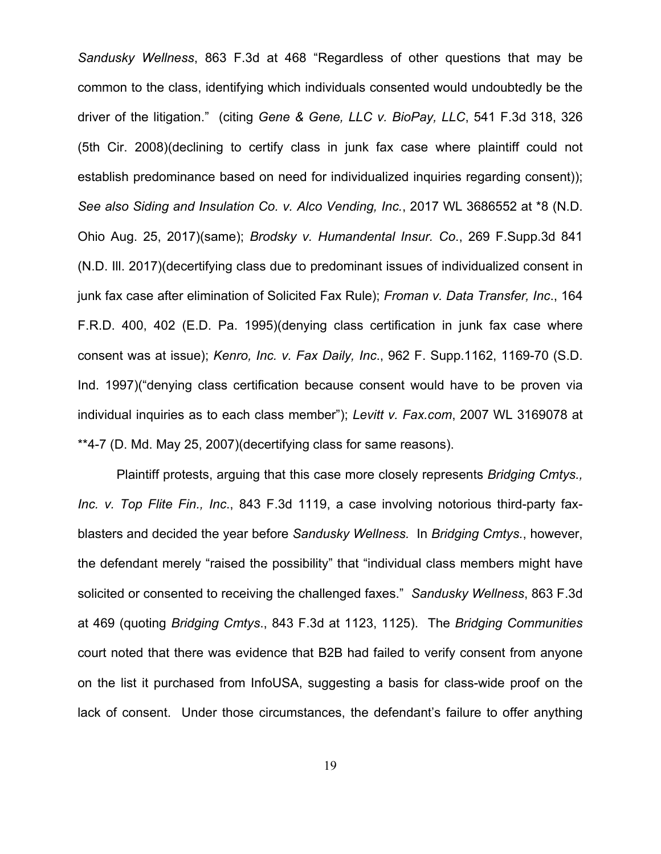*Sandusky Wellness*, 863 F.3d at 468 "Regardless of other questions that may be common to the class, identifying which individuals consented would undoubtedly be the driver of the litigation." (citing *Gene & Gene, LLC v. BioPay, LLC*, 541 F.3d 318, 326 (5th Cir. 2008)(declining to certify class in junk fax case where plaintiff could not establish predominance based on need for individualized inquiries regarding consent)); *See also Siding and Insulation Co. v. Alco Vending, Inc.*, 2017 WL 3686552 at \*8 (N.D. Ohio Aug. 25, 2017)(same); *Brodsky v. Humandental Insur. Co*., 269 F.Supp.3d 841 (N.D. Ill. 2017)(decertifying class due to predominant issues of individualized consent in junk fax case after elimination of Solicited Fax Rule); *Froman v. Data Transfer, Inc*., 164 F.R.D. 400, 402 (E.D. Pa. 1995)(denying class certification in junk fax case where consent was at issue); *Kenro, Inc. v. Fax Daily, Inc*., 962 F. Supp.1162, 1169-70 (S.D. Ind. 1997)("denying class certification because consent would have to be proven via individual inquiries as to each class member"); *Levitt v. Fax.com*, 2007 WL 3169078 at \*\*4-7 (D. Md. May 25, 2007)(decertifying class for same reasons).

 Plaintiff protests, arguing that this case more closely represents *Bridging Cmtys., Inc. v. Top Flite Fin., Inc*., 843 F.3d 1119, a case involving notorious third-party faxblasters and decided the year before *Sandusky Wellness.* In *Bridging Cmtys.*, however, the defendant merely "raised the possibility" that "individual class members might have solicited or consented to receiving the challenged faxes." *Sandusky Wellness*, 863 F.3d at 469 (quoting *Bridging Cmtys*., 843 F.3d at 1123, 1125). The *Bridging Communities* court noted that there was evidence that B2B had failed to verify consent from anyone on the list it purchased from InfoUSA, suggesting a basis for class-wide proof on the lack of consent. Under those circumstances, the defendant's failure to offer anything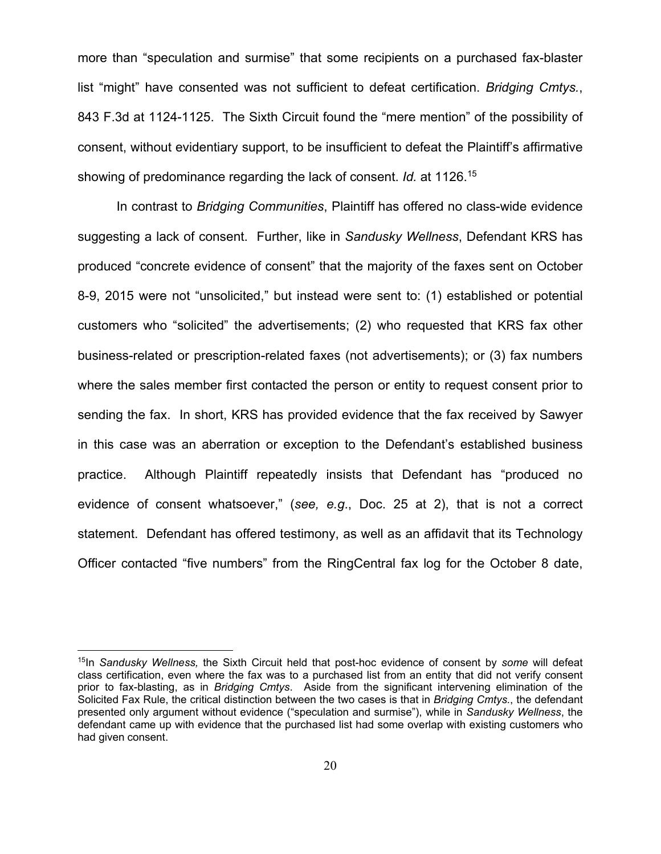more than "speculation and surmise" that some recipients on a purchased fax-blaster list "might" have consented was not sufficient to defeat certification. *Bridging Cmtys.*, 843 F.3d at 1124-1125. The Sixth Circuit found the "mere mention" of the possibility of consent, without evidentiary support, to be insufficient to defeat the Plaintiff's affirmative showing of predominance regarding the lack of consent. *Id.* at 1126.15

 In contrast to *Bridging Communities*, Plaintiff has offered no class-wide evidence suggesting a lack of consent. Further, like in *Sandusky Wellness*, Defendant KRS has produced "concrete evidence of consent" that the majority of the faxes sent on October 8-9, 2015 were not "unsolicited," but instead were sent to: (1) established or potential customers who "solicited" the advertisements; (2) who requested that KRS fax other business-related or prescription-related faxes (not advertisements); or (3) fax numbers where the sales member first contacted the person or entity to request consent prior to sending the fax. In short, KRS has provided evidence that the fax received by Sawyer in this case was an aberration or exception to the Defendant's established business practice. Although Plaintiff repeatedly insists that Defendant has "produced no evidence of consent whatsoever," (*see, e.g*., Doc. 25 at 2), that is not a correct statement. Defendant has offered testimony, as well as an affidavit that its Technology Officer contacted "five numbers" from the RingCentral fax log for the October 8 date,

<sup>15</sup>In *Sandusky Wellness,* the Sixth Circuit held that post-hoc evidence of consent by *some* will defeat class certification, even where the fax was to a purchased list from an entity that did not verify consent prior to fax-blasting, as in *Bridging Cmtys*. Aside from the significant intervening elimination of the Solicited Fax Rule, the critical distinction between the two cases is that in *Bridging Cmtys.*, the defendant presented only argument without evidence ("speculation and surmise"), while in *Sandusky Wellness*, the defendant came up with evidence that the purchased list had some overlap with existing customers who had given consent.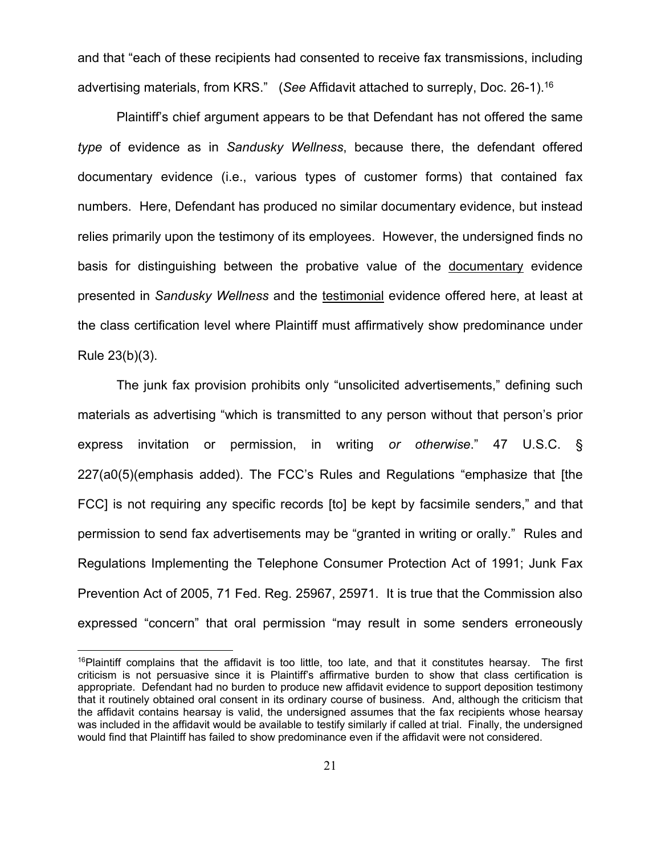and that "each of these recipients had consented to receive fax transmissions, including advertising materials, from KRS." (*See* Affidavit attached to surreply, Doc. 26-1).16

 Plaintiff's chief argument appears to be that Defendant has not offered the same *type* of evidence as in *Sandusky Wellness*, because there, the defendant offered documentary evidence (i.e., various types of customer forms) that contained fax numbers. Here, Defendant has produced no similar documentary evidence, but instead relies primarily upon the testimony of its employees. However, the undersigned finds no basis for distinguishing between the probative value of the documentary evidence presented in *Sandusky Wellness* and the testimonial evidence offered here, at least at the class certification level where Plaintiff must affirmatively show predominance under Rule 23(b)(3).

 The junk fax provision prohibits only "unsolicited advertisements," defining such materials as advertising "which is transmitted to any person without that person's prior express invitation or permission, in writing *or otherwise*." 47 U.S.C. § 227(a0(5)(emphasis added). The FCC's Rules and Regulations "emphasize that [the FCC] is not requiring any specific records [to] be kept by facsimile senders," and that permission to send fax advertisements may be "granted in writing or orally." Rules and Regulations Implementing the Telephone Consumer Protection Act of 1991; Junk Fax Prevention Act of 2005, 71 Fed. Reg. 25967, 25971. It is true that the Commission also expressed "concern" that oral permission "may result in some senders erroneously

 $16$ Plaintiff complains that the affidavit is too little, too late, and that it constitutes hearsay. The first criticism is not persuasive since it is Plaintiff's affirmative burden to show that class certification is appropriate. Defendant had no burden to produce new affidavit evidence to support deposition testimony that it routinely obtained oral consent in its ordinary course of business. And, although the criticism that the affidavit contains hearsay is valid, the undersigned assumes that the fax recipients whose hearsay was included in the affidavit would be available to testify similarly if called at trial. Finally, the undersigned would find that Plaintiff has failed to show predominance even if the affidavit were not considered.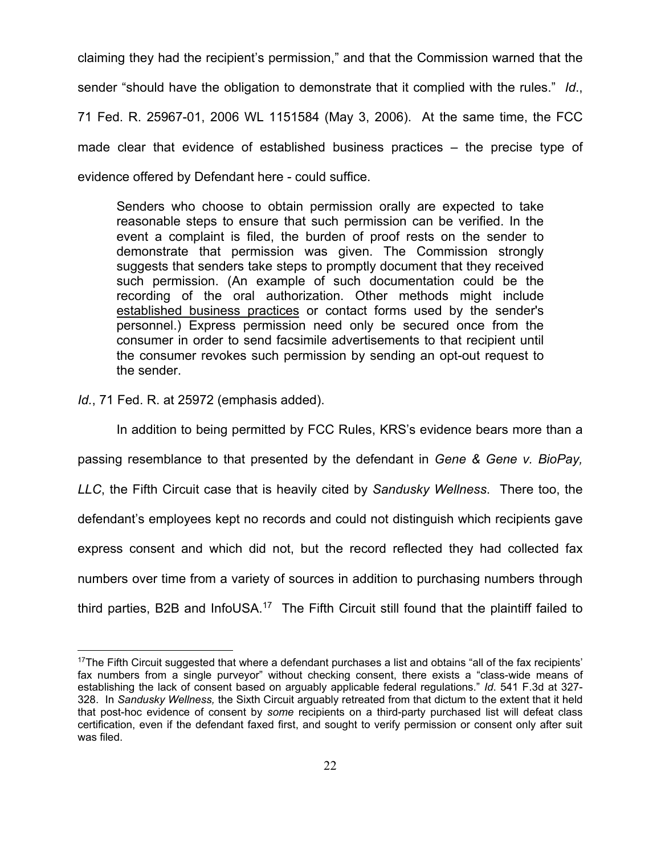claiming they had the recipient's permission," and that the Commission warned that the sender "should have the obligation to demonstrate that it complied with the rules." *Id*., 71 Fed. R. 25967-01, 2006 WL 1151584 (May 3, 2006). At the same time, the FCC made clear that evidence of established business practices – the precise type of evidence offered by Defendant here - could suffice.

Senders who choose to obtain permission orally are expected to take reasonable steps to ensure that such permission can be verified. In the event a complaint is filed, the burden of proof rests on the sender to demonstrate that permission was given. The Commission strongly suggests that senders take steps to promptly document that they received such permission. (An example of such documentation could be the recording of the oral authorization. Other methods might include established business practices or contact forms used by the sender's personnel.) Express permission need only be secured once from the consumer in order to send facsimile advertisements to that recipient until the consumer revokes such permission by sending an opt-out request to the sender.

*Id.*, 71 Fed. R. at 25972 (emphasis added).

 $\overline{a}$ 

 In addition to being permitted by FCC Rules, KRS's evidence bears more than a passing resemblance to that presented by the defendant in *Gene & Gene v. BioPay, LLC*, the Fifth Circuit case that is heavily cited by *Sandusky Wellness*. There too, the defendant's employees kept no records and could not distinguish which recipients gave express consent and which did not, but the record reflected they had collected fax numbers over time from a variety of sources in addition to purchasing numbers through third parties, B2B and InfoUSA.<sup>17</sup> The Fifth Circuit still found that the plaintiff failed to

<sup>&</sup>lt;sup>17</sup>The Fifth Circuit suggested that where a defendant purchases a list and obtains "all of the fax recipients" fax numbers from a single purveyor" without checking consent, there exists a "class-wide means of establishing the lack of consent based on arguably applicable federal regulations." *Id*. 541 F.3d at 327- 328. In *Sandusky Wellness,* the Sixth Circuit arguably retreated from that dictum to the extent that it held that post-hoc evidence of consent by *some* recipients on a third-party purchased list will defeat class certification, even if the defendant faxed first, and sought to verify permission or consent only after suit was filed.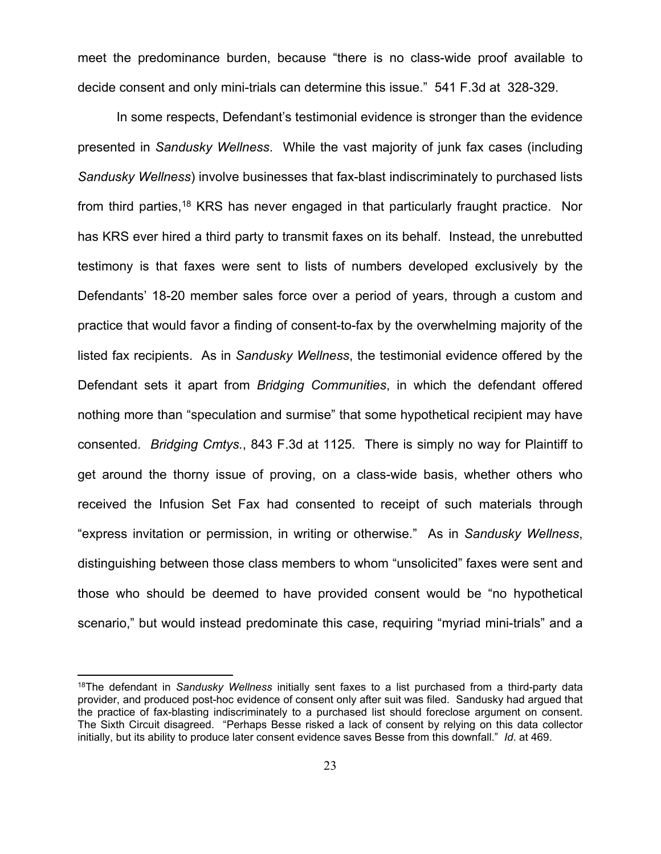meet the predominance burden, because "there is no class-wide proof available to decide consent and only mini-trials can determine this issue." 541 F.3d at 328-329.

In some respects, Defendant's testimonial evidence is stronger than the evidence presented in *Sandusky Wellness*. While the vast majority of junk fax cases (including *Sandusky Wellness*) involve businesses that fax-blast indiscriminately to purchased lists from third parties,<sup>18</sup> KRS has never engaged in that particularly fraught practice. Nor has KRS ever hired a third party to transmit faxes on its behalf. Instead, the unrebutted testimony is that faxes were sent to lists of numbers developed exclusively by the Defendants' 18-20 member sales force over a period of years, through a custom and practice that would favor a finding of consent-to-fax by the overwhelming majority of the listed fax recipients. As in *Sandusky Wellness*, the testimonial evidence offered by the Defendant sets it apart from *Bridging Communities*, in which the defendant offered nothing more than "speculation and surmise" that some hypothetical recipient may have consented. *Bridging Cmtys.*, 843 F.3d at 1125. There is simply no way for Plaintiff to get around the thorny issue of proving, on a class-wide basis, whether others who received the Infusion Set Fax had consented to receipt of such materials through "express invitation or permission, in writing or otherwise." As in *Sandusky Wellness*, distinguishing between those class members to whom "unsolicited" faxes were sent and those who should be deemed to have provided consent would be "no hypothetical scenario," but would instead predominate this case, requiring "myriad mini-trials" and a

<sup>18</sup>The defendant in *Sandusky Wellness* initially sent faxes to a list purchased from a third-party data provider, and produced post-hoc evidence of consent only after suit was filed. Sandusky had argued that the practice of fax-blasting indiscriminately to a purchased list should foreclose argument on consent. The Sixth Circuit disagreed. "Perhaps Besse risked a lack of consent by relying on this data collector initially, but its ability to produce later consent evidence saves Besse from this downfall." *Id*. at 469.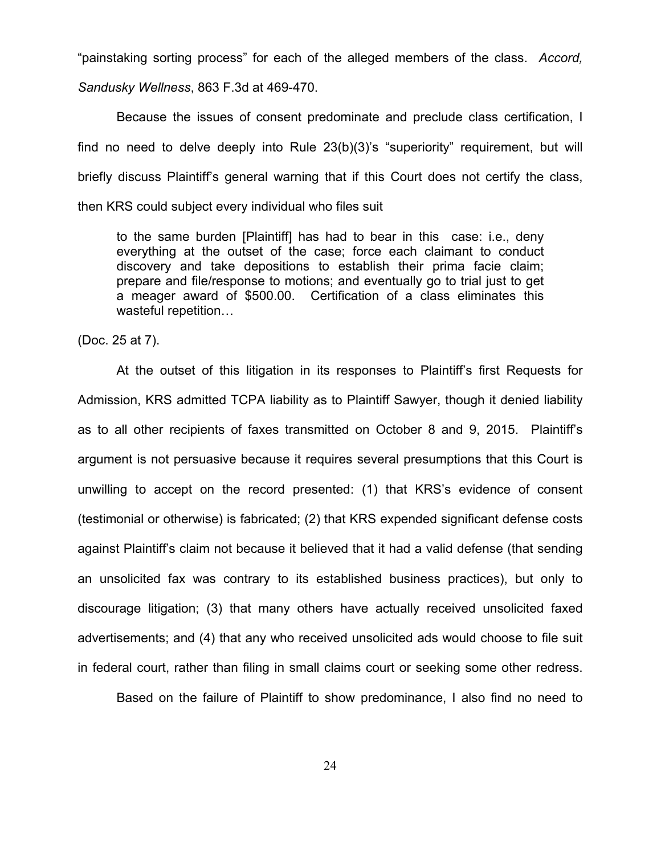"painstaking sorting process" for each of the alleged members of the class. *Accord,* 

*Sandusky Wellness*, 863 F.3d at 469-470.

 Because the issues of consent predominate and preclude class certification, I find no need to delve deeply into Rule 23(b)(3)'s "superiority" requirement, but will briefly discuss Plaintiff's general warning that if this Court does not certify the class, then KRS could subject every individual who files suit

to the same burden [Plaintiff] has had to bear in this case: i.e., deny everything at the outset of the case; force each claimant to conduct discovery and take depositions to establish their prima facie claim; prepare and file/response to motions; and eventually go to trial just to get a meager award of \$500.00. Certification of a class eliminates this wasteful repetition…

(Doc. 25 at 7).

 At the outset of this litigation in its responses to Plaintiff's first Requests for Admission, KRS admitted TCPA liability as to Plaintiff Sawyer, though it denied liability as to all other recipients of faxes transmitted on October 8 and 9, 2015. Plaintiff's argument is not persuasive because it requires several presumptions that this Court is unwilling to accept on the record presented: (1) that KRS's evidence of consent (testimonial or otherwise) is fabricated; (2) that KRS expended significant defense costs against Plaintiff's claim not because it believed that it had a valid defense (that sending an unsolicited fax was contrary to its established business practices), but only to discourage litigation; (3) that many others have actually received unsolicited faxed advertisements; and (4) that any who received unsolicited ads would choose to file suit in federal court, rather than filing in small claims court or seeking some other redress.

Based on the failure of Plaintiff to show predominance, I also find no need to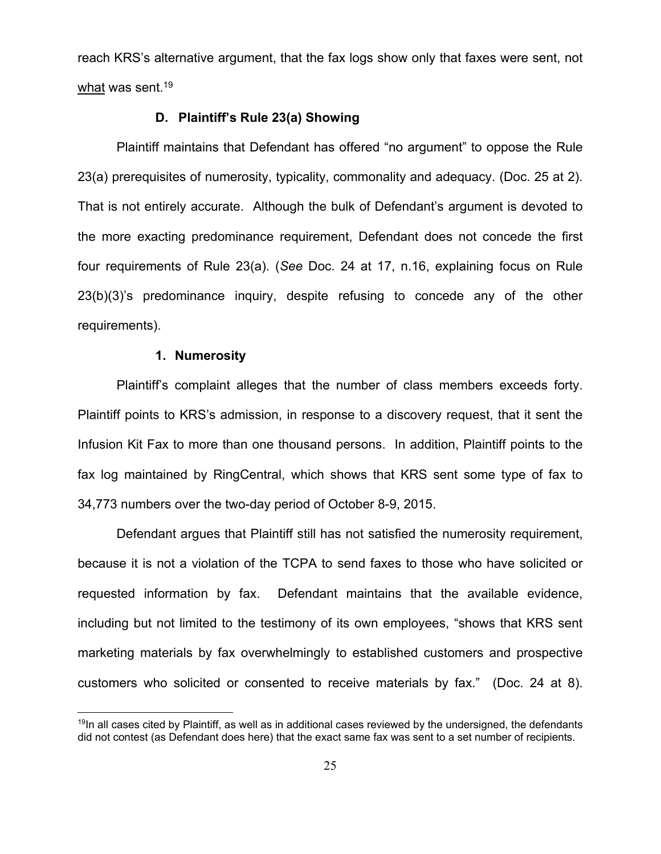reach KRS's alternative argument, that the fax logs show only that faxes were sent, not what was sent.<sup>19</sup>

#### **D. Plaintiff's Rule 23(a) Showing**

 Plaintiff maintains that Defendant has offered "no argument" to oppose the Rule 23(a) prerequisites of numerosity, typicality, commonality and adequacy. (Doc. 25 at 2). That is not entirely accurate. Although the bulk of Defendant's argument is devoted to the more exacting predominance requirement, Defendant does not concede the first four requirements of Rule 23(a). (*See* Doc. 24 at 17, n.16, explaining focus on Rule 23(b)(3)'s predominance inquiry, despite refusing to concede any of the other requirements).

## **1. Numerosity**

 $\overline{a}$ 

 Plaintiff's complaint alleges that the number of class members exceeds forty. Plaintiff points to KRS's admission, in response to a discovery request, that it sent the Infusion Kit Fax to more than one thousand persons. In addition, Plaintiff points to the fax log maintained by RingCentral, which shows that KRS sent some type of fax to 34,773 numbers over the two-day period of October 8-9, 2015.

 Defendant argues that Plaintiff still has not satisfied the numerosity requirement, because it is not a violation of the TCPA to send faxes to those who have solicited or requested information by fax. Defendant maintains that the available evidence, including but not limited to the testimony of its own employees, "shows that KRS sent marketing materials by fax overwhelmingly to established customers and prospective customers who solicited or consented to receive materials by fax." (Doc. 24 at 8).

 $19$ In all cases cited by Plaintiff, as well as in additional cases reviewed by the undersigned, the defendants did not contest (as Defendant does here) that the exact same fax was sent to a set number of recipients.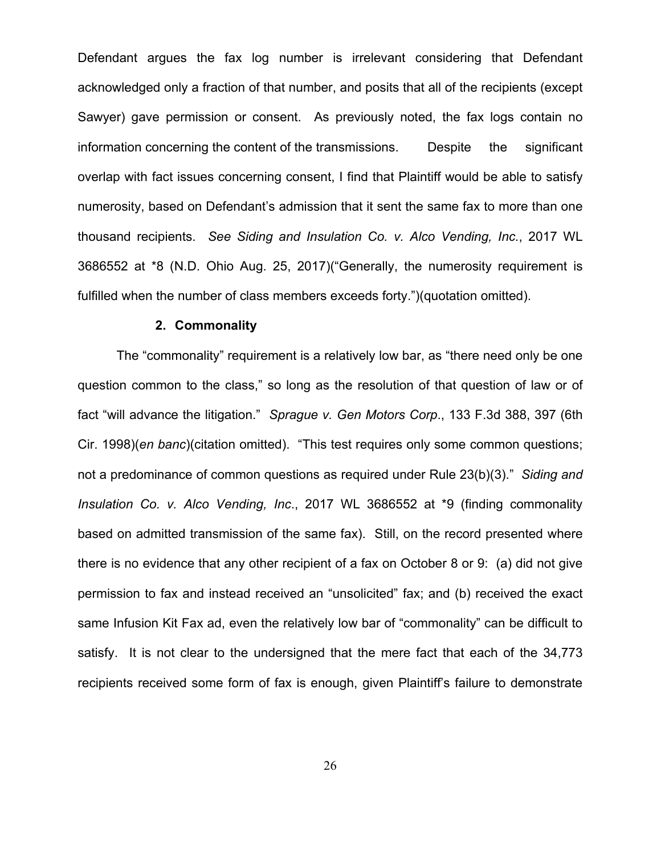Defendant argues the fax log number is irrelevant considering that Defendant acknowledged only a fraction of that number, and posits that all of the recipients (except Sawyer) gave permission or consent. As previously noted, the fax logs contain no information concerning the content of the transmissions. Despite the significant overlap with fact issues concerning consent, I find that Plaintiff would be able to satisfy numerosity, based on Defendant's admission that it sent the same fax to more than one thousand recipients. *See Siding and Insulation Co. v. Alco Vending, Inc.*, 2017 WL 3686552 at \*8 (N.D. Ohio Aug. 25, 2017)("Generally, the numerosity requirement is fulfilled when the number of class members exceeds forty.")(quotation omitted).

#### **2. Commonality**

The "commonality" requirement is a relatively low bar, as "there need only be one question common to the class," so long as the resolution of that question of law or of fact "will advance the litigation." *Sprague v. Gen Motors Corp*., 133 F.3d 388, 397 (6th Cir. 1998)(*en banc*)(citation omitted). "This test requires only some common questions; not a predominance of common questions as required under Rule 23(b)(3)." *Siding and Insulation Co. v. Alco Vending, Inc*., 2017 WL 3686552 at \*9 (finding commonality based on admitted transmission of the same fax). Still, on the record presented where there is no evidence that any other recipient of a fax on October 8 or 9: (a) did not give permission to fax and instead received an "unsolicited" fax; and (b) received the exact same Infusion Kit Fax ad, even the relatively low bar of "commonality" can be difficult to satisfy. It is not clear to the undersigned that the mere fact that each of the 34,773 recipients received some form of fax is enough, given Plaintiff's failure to demonstrate

26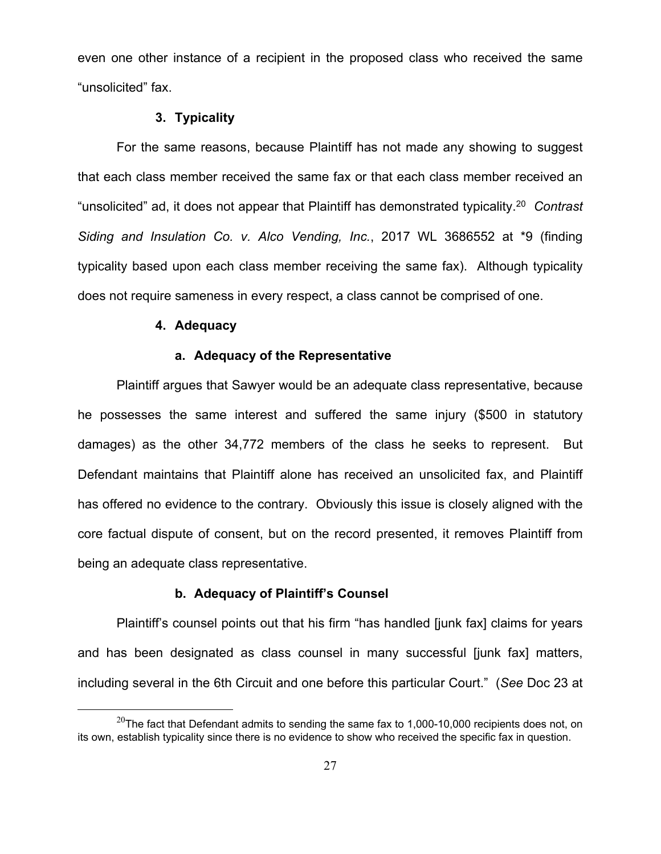even one other instance of a recipient in the proposed class who received the same "unsolicited" fax.

### **3. Typicality**

For the same reasons, because Plaintiff has not made any showing to suggest that each class member received the same fax or that each class member received an "unsolicited" ad, it does not appear that Plaintiff has demonstrated typicality.20 *Contrast Siding and Insulation Co. v. Alco Vending, Inc.*, 2017 WL 3686552 at \*9 (finding typicality based upon each class member receiving the same fax). Although typicality does not require sameness in every respect, a class cannot be comprised of one.

### **4. Adequacy**

# **a. Adequacy of the Representative**

Plaintiff argues that Sawyer would be an adequate class representative, because he possesses the same interest and suffered the same injury (\$500 in statutory damages) as the other 34,772 members of the class he seeks to represent. But Defendant maintains that Plaintiff alone has received an unsolicited fax, and Plaintiff has offered no evidence to the contrary. Obviously this issue is closely aligned with the core factual dispute of consent, but on the record presented, it removes Plaintiff from being an adequate class representative.

### **b. Adequacy of Plaintiff's Counsel**

Plaintiff's counsel points out that his firm "has handled [junk fax] claims for years and has been designated as class counsel in many successful [junk fax] matters, including several in the 6th Circuit and one before this particular Court." (*See* Doc 23 at

 $^{20}$ The fact that Defendant admits to sending the same fax to 1,000-10,000 recipients does not, on its own, establish typicality since there is no evidence to show who received the specific fax in question.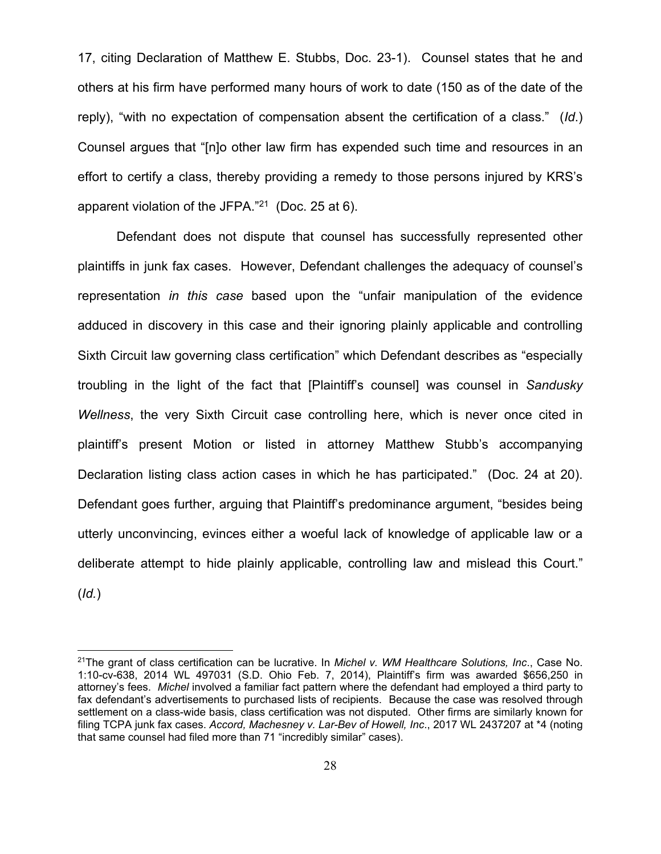17, citing Declaration of Matthew E. Stubbs, Doc. 23-1). Counsel states that he and others at his firm have performed many hours of work to date (150 as of the date of the reply), "with no expectation of compensation absent the certification of a class." (*Id*.) Counsel argues that "[n]o other law firm has expended such time and resources in an effort to certify a class, thereby providing a remedy to those persons injured by KRS's apparent violation of the JFPA."21 (Doc. 25 at 6).

Defendant does not dispute that counsel has successfully represented other plaintiffs in junk fax cases. However, Defendant challenges the adequacy of counsel's representation *in this case* based upon the "unfair manipulation of the evidence adduced in discovery in this case and their ignoring plainly applicable and controlling Sixth Circuit law governing class certification" which Defendant describes as "especially troubling in the light of the fact that [Plaintiff's counsel] was counsel in *Sandusky Wellness*, the very Sixth Circuit case controlling here, which is never once cited in plaintiff's present Motion or listed in attorney Matthew Stubb's accompanying Declaration listing class action cases in which he has participated." (Doc. 24 at 20). Defendant goes further, arguing that Plaintiff's predominance argument, "besides being utterly unconvincing, evinces either a woeful lack of knowledge of applicable law or a deliberate attempt to hide plainly applicable, controlling law and mislead this Court." (*Id.*)

<sup>21</sup>The grant of class certification can be lucrative. In *Michel v. WM Healthcare Solutions, Inc*., Case No. 1:10-cv-638, 2014 WL 497031 (S.D. Ohio Feb. 7, 2014), Plaintiff's firm was awarded \$656,250 in attorney's fees. *Michel* involved a familiar fact pattern where the defendant had employed a third party to fax defendant's advertisements to purchased lists of recipients. Because the case was resolved through settlement on a class-wide basis, class certification was not disputed. Other firms are similarly known for filing TCPA junk fax cases. *Accord, Machesney v. Lar-Bev of Howell, Inc*., 2017 WL 2437207 at \*4 (noting that same counsel had filed more than 71 "incredibly similar" cases).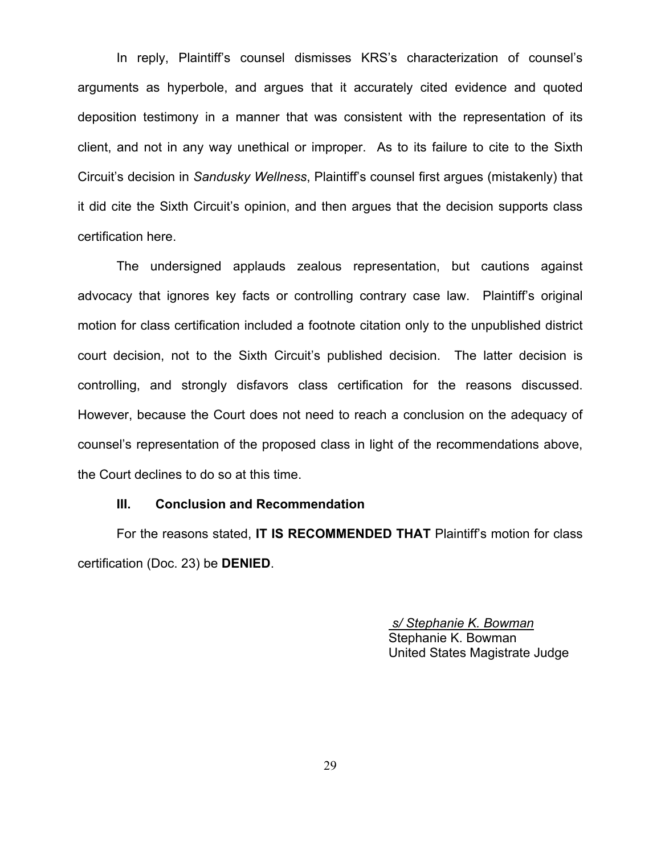In reply, Plaintiff's counsel dismisses KRS's characterization of counsel's arguments as hyperbole, and argues that it accurately cited evidence and quoted deposition testimony in a manner that was consistent with the representation of its client, and not in any way unethical or improper. As to its failure to cite to the Sixth Circuit's decision in *Sandusky Wellness*, Plaintiff's counsel first argues (mistakenly) that it did cite the Sixth Circuit's opinion, and then argues that the decision supports class certification here.

 The undersigned applauds zealous representation, but cautions against advocacy that ignores key facts or controlling contrary case law. Plaintiff's original motion for class certification included a footnote citation only to the unpublished district court decision, not to the Sixth Circuit's published decision. The latter decision is controlling, and strongly disfavors class certification for the reasons discussed. However, because the Court does not need to reach a conclusion on the adequacy of counsel's representation of the proposed class in light of the recommendations above, the Court declines to do so at this time.

### **III. Conclusion and Recommendation**

For the reasons stated, **IT IS RECOMMENDED THAT** Plaintiff's motion for class certification (Doc. 23) be **DENIED**.

> *s/ Stephanie K. Bowman*  Stephanie K. Bowman United States Magistrate Judge